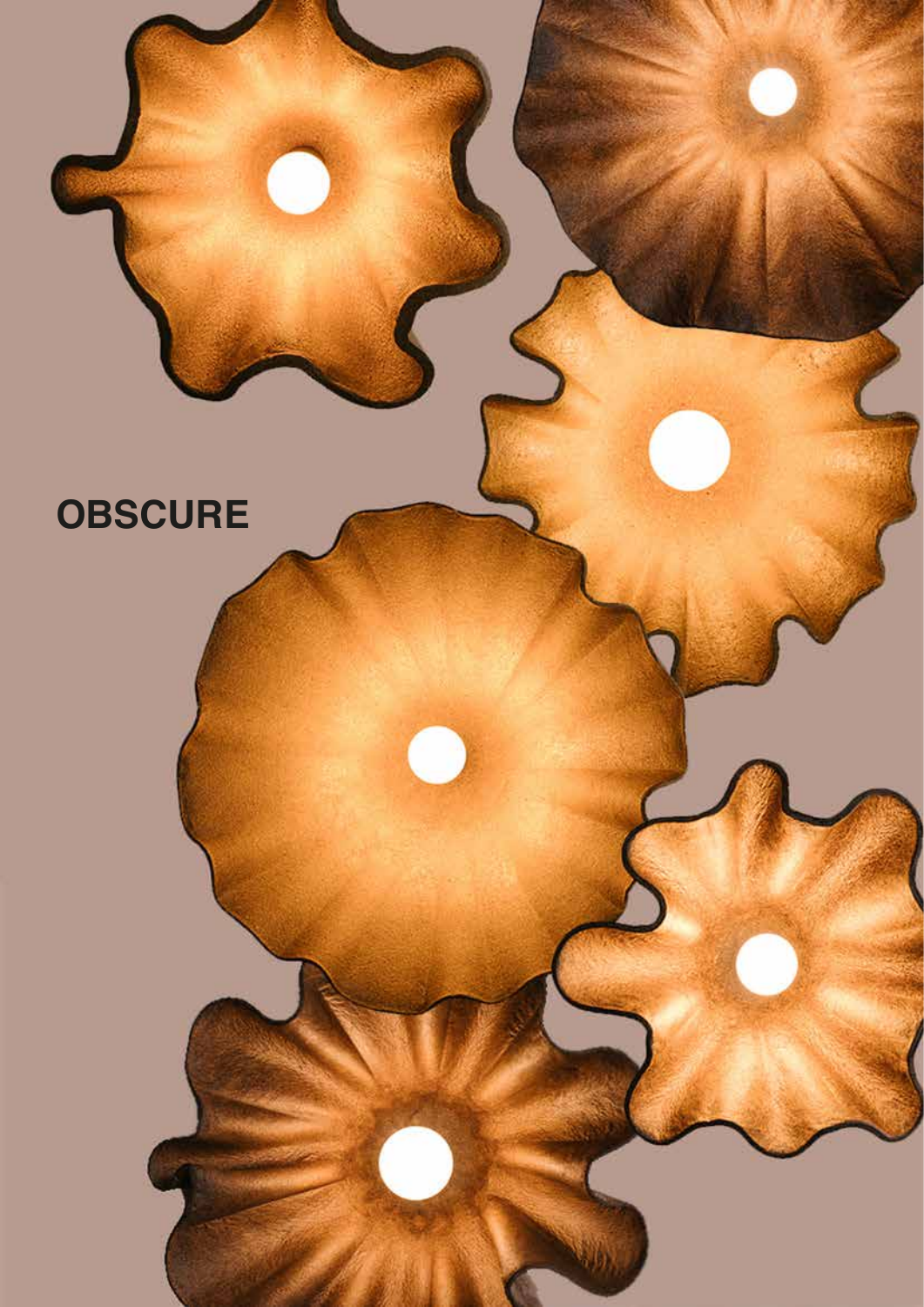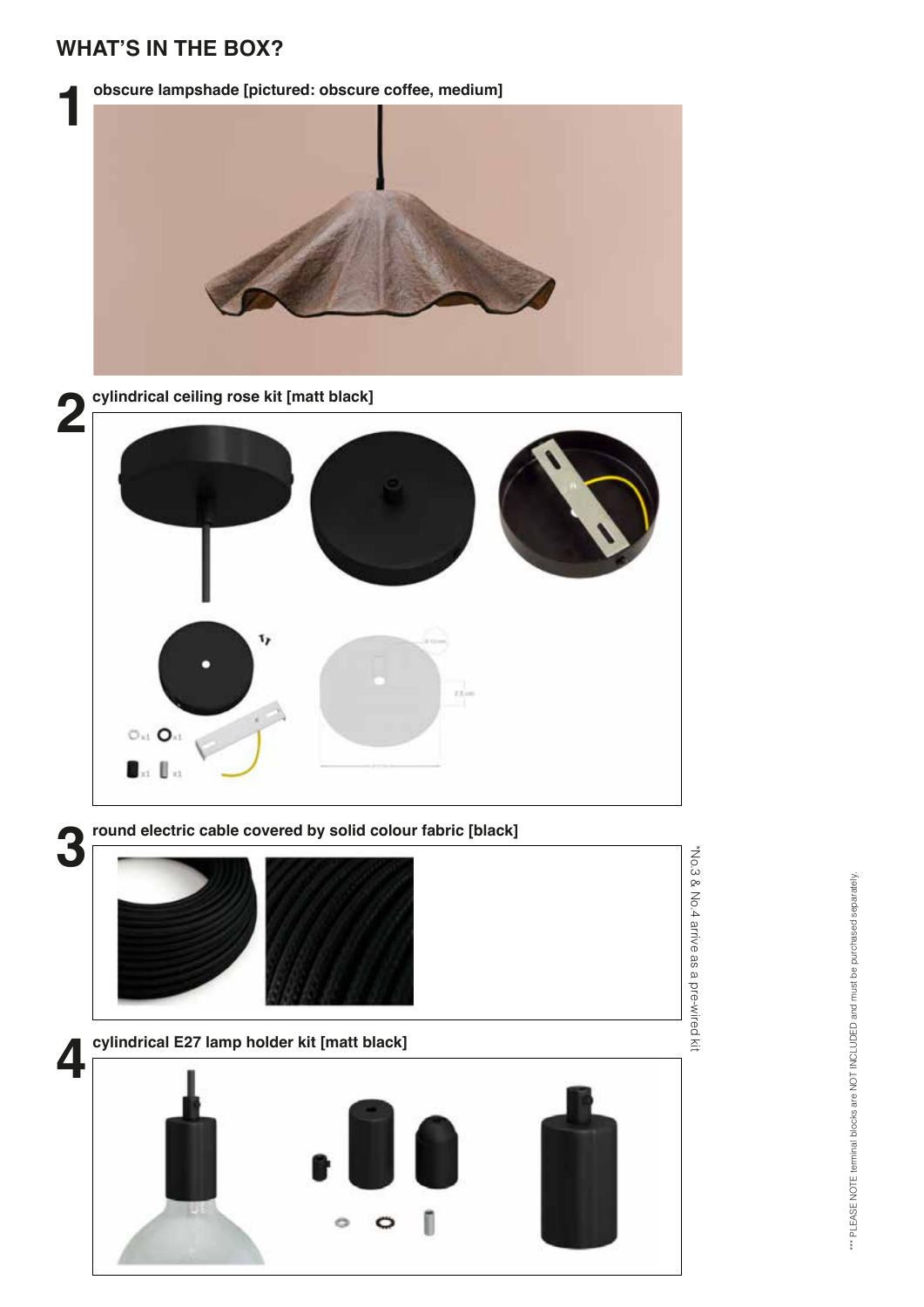# **WHAT'S IN THE BOX?**

**obscure lampshade [pictured: obscure coffee, medium]**





**cylindrical ceiling rose kit [matt black]**



**3**

**round electric cable covered by solid colour fabric [black]**



\*\*\* PLEASE NOTE terminal blocks are NOT INCLUDED and must be purchased separately. \*\*\* PLEASE NOTE terminal blocks are NOT INCLUDED and must be purchased separately.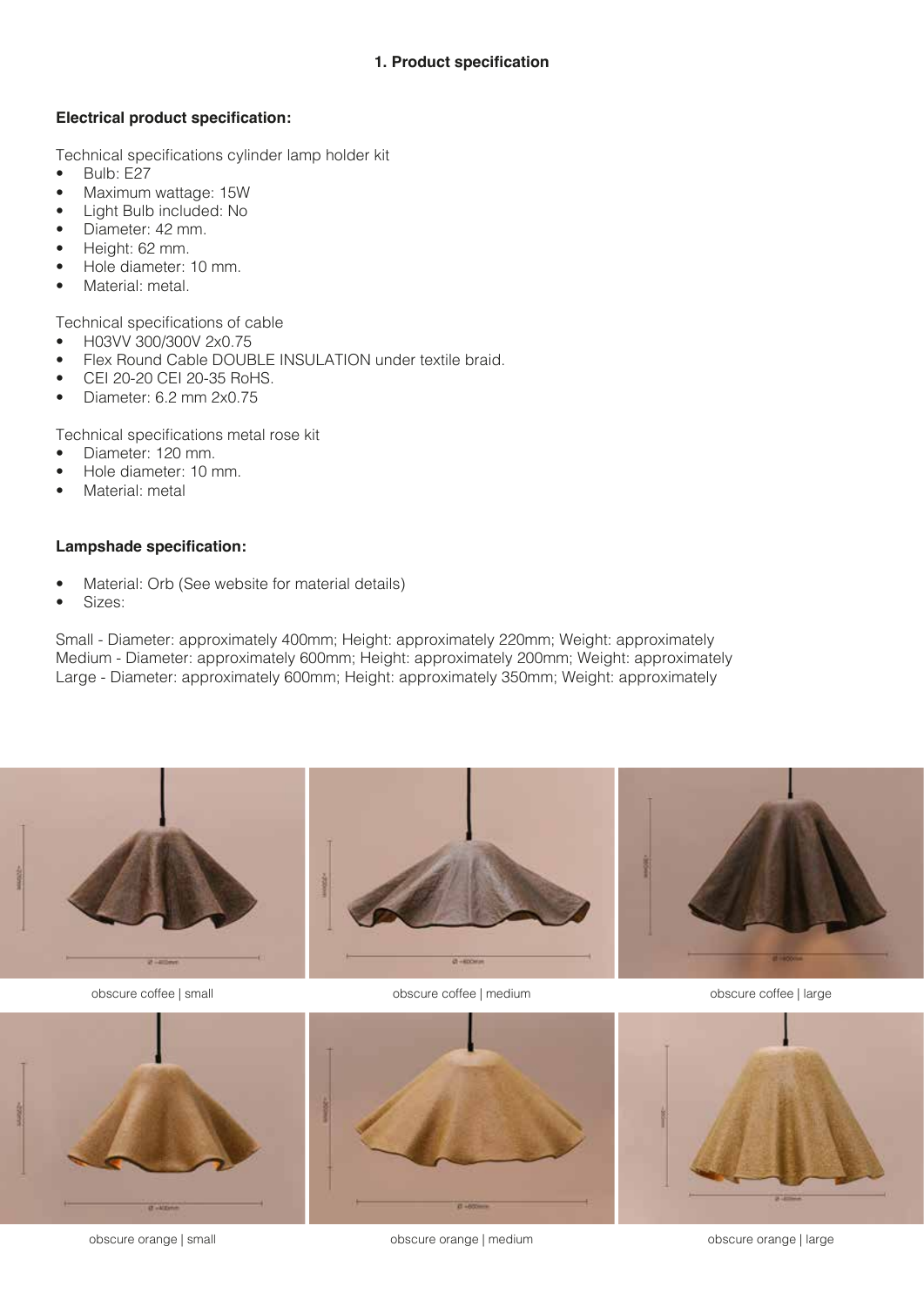# **1. Product specification**

#### **Electrical product specification:**

Technical specifications cylinder lamp holder kit

- Bulb: E27
- Maximum wattage: 15W
- Light Bulb included: No
- Diameter: 42 mm.
- Height: 62 mm.
- Hole diameter: 10 mm.
- Material: metal.

Technical specifications of cable

- H03VV 300/300V 2x0.75
- Flex Round Cable DOUBLE INSULATION under textile braid.
- CEI 20-20 CEI 20-35 RoHS.
- Diameter: 6.2 mm 2x0.75

Technical specifications metal rose kit

- Diameter: 120 mm.
- Hole diameter: 10 mm.
- Material: metal

#### **Lampshade specification:**

- Material: Orb (See website for material details)
- Sizes:

Small - Diameter: approximately 400mm; Height: approximately 220mm; Weight: approximately Medium - Diameter: approximately 600mm; Height: approximately 200mm; Weight: approximately Large - Diameter: approximately 600mm; Height: approximately 350mm; Weight: approximately



obscure coffee | small obscure coffee | medium obscure coffee | large



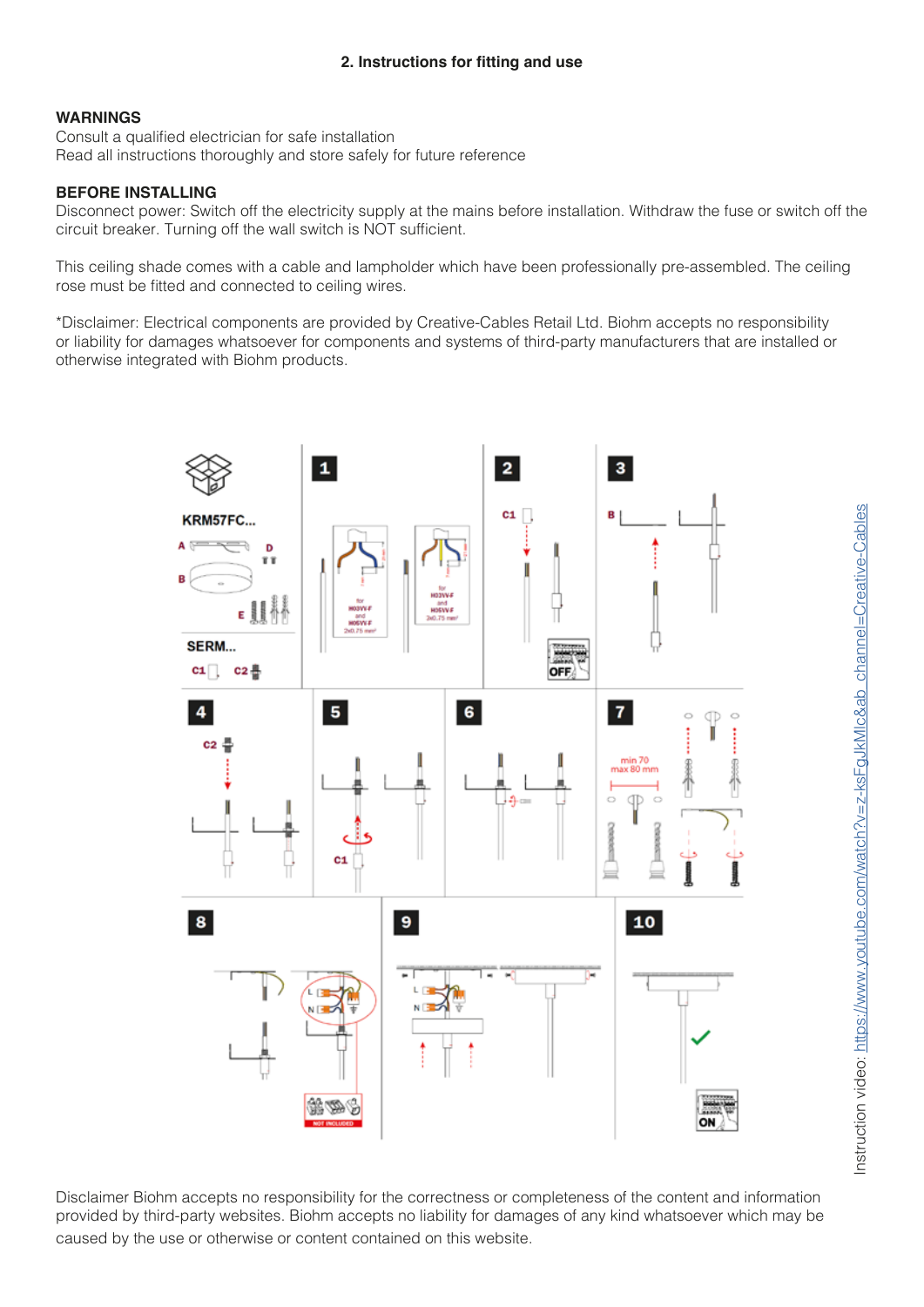# **WARNINGS**

Consult a qualified electrician for safe installation Read all instructions thoroughly and store safely for future reference

# **BEFORE INSTALLING**

Disconnect power: Switch off the electricity supply at the mains before installation. Withdraw the fuse or switch off the circuit breaker. Turning off the wall switch is NOT sufficient.

This ceiling shade comes with a cable and lampholder which have been professionally pre-assembled. The ceiling rose must be fitted and connected to ceiling wires.

\*Disclaimer: Electrical components are provided by Creative-Cables Retail Ltd. Biohm accepts no responsibility or liability for damages whatsoever for components and systems of third-party manufacturers that are installed or otherwise integrated with Biohm products.



Disclaimer Biohm accepts no responsibility for the correctness or completeness of the content and information provided by third-party websites. Biohm accepts no liability for damages of any kind whatsoever which may be caused by the use or otherwise or content contained on this website.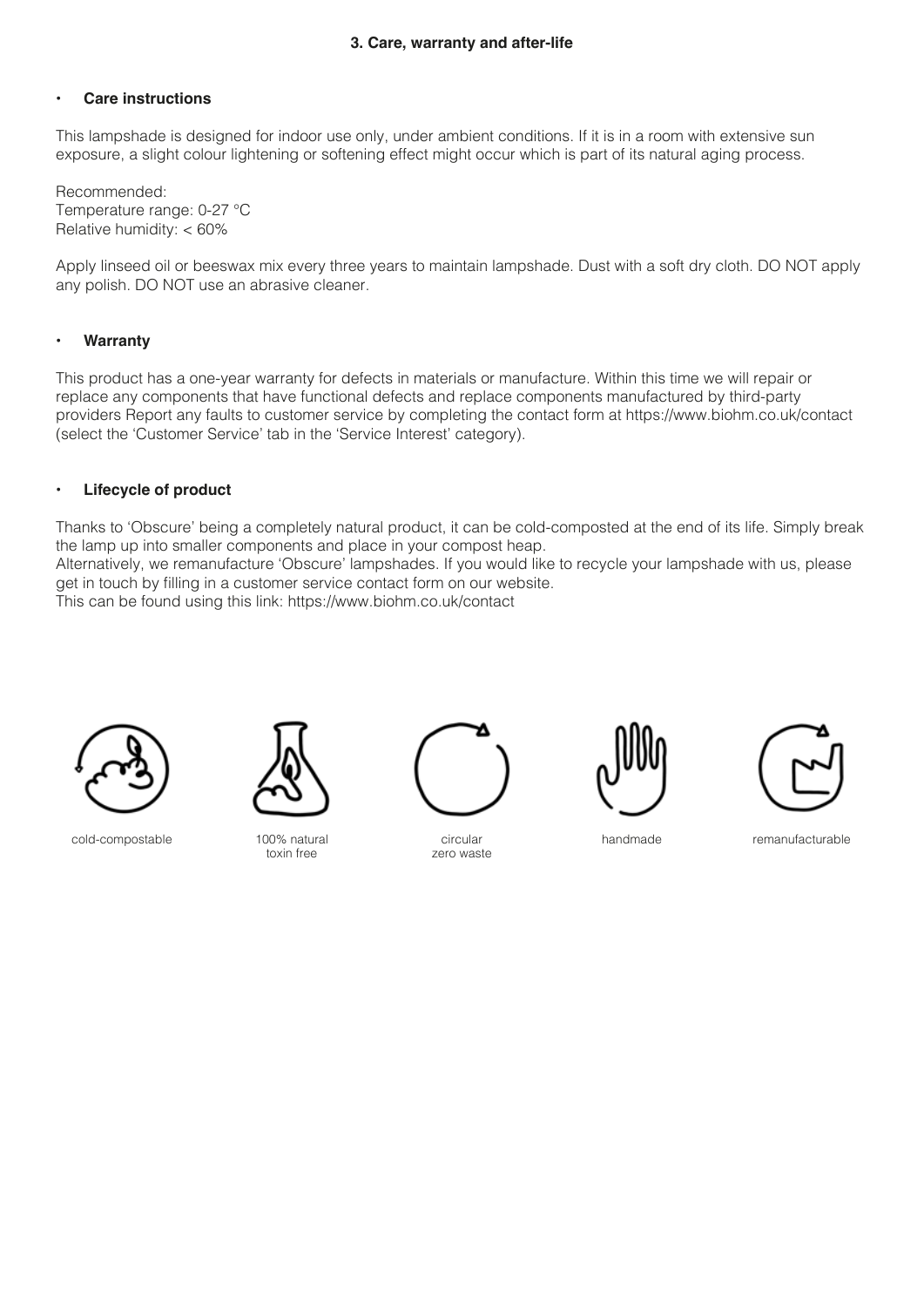# **• Care instructions**

This lampshade is designed for indoor use only, under ambient conditions. If it is in a room with extensive sun exposure, a slight colour lightening or softening effect might occur which is part of its natural aging process.

Recommended: Temperature range: 0-27 °C Relative humidity: < 60%

Apply linseed oil or beeswax mix every three years to maintain lampshade. Dust with a soft dry cloth. DO NOT apply any polish. DO NOT use an abrasive cleaner.

## **• Warranty**

This product has a one-year warranty for defects in materials or manufacture. Within this time we will repair or replace any components that have functional defects and replace components manufactured by third-party providers Report any faults to customer service by completing the contact form at https://www.biohm.co.uk/contact (select the 'Customer Service' tab in the 'Service Interest' category).

## **• Lifecycle of product**

Thanks to 'Obscure' being a completely natural product, it can be cold-composted at the end of its life. Simply break the lamp up into smaller components and place in your compost heap.

Alternatively, we remanufacture 'Obscure' lampshades. If you would like to recycle your lampshade with us, please get in touch by filling in a customer service contact form on our website.

This can be found using this link: https://www.biohm.co.uk/contact



cold-compostable 100% natural



toxin free



circular zero waste





handmade remanufacturable